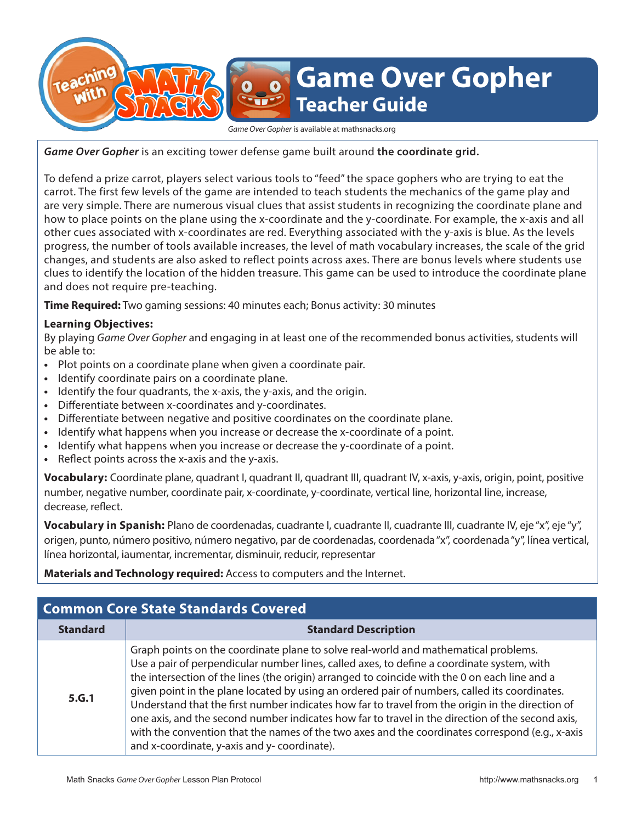# **Game Over Gopher Teacher Guide**

*Game Over Gopher* is available at mathsnacks.org

*Game Over Gopher* is an exciting tower defense game built around **the coordinate grid.** 

To defend a prize carrot, players select various tools to "feed" the space gophers who are trying to eat the carrot. The first few levels of the game are intended to teach students the mechanics of the game play and are very simple. There are numerous visual clues that assist students in recognizing the coordinate plane and how to place points on the plane using the x-coordinate and the y-coordinate. For example, the x-axis and all other cues associated with x-coordinates are red. Everything associated with the y-axis is blue. As the levels progress, the number of tools available increases, the level of math vocabulary increases, the scale of the grid changes, and students are also asked to reflect points across axes. There are bonus levels where students use clues to identify the location of the hidden treasure. This game can be used to introduce the coordinate plane and does not require pre-teaching.

**Time Required:** Two gaming sessions: 40 minutes each; Bonus activity: 30 minutes

## **Learning Objectives:**

By playing *Game Over Gopher* and engaging in at least one of the recommended bonus activities, students will be able to:

- **•** Plot points on a coordinate plane when given a coordinate pair.
- **•** Identify coordinate pairs on a coordinate plane.
- **•** Identify the four quadrants, the x-axis, the y-axis, and the origin.
- **•** Differentiate between x-coordinates and y-coordinates.
- **•** Differentiate between negative and positive coordinates on the coordinate plane.
- **•** Identify what happens when you increase or decrease the x-coordinate of a point.
- **•** Identify what happens when you increase or decrease the y-coordinate of a point.
- **•** Reflect points across the x-axis and the y-axis.

Vocabulary: Coordinate plane, quadrant I, quadrant II, quadrant III, quadrant IV, x-axis, y-axis, origin, point, positive number, negative number, coordinate pair, x-coordinate, y-coordinate, vertical line, horizontal line, increase, decrease, reflect.

**Vocabulary in Spanish:** Plano de coordenadas, cuadrante I, cuadrante II, cuadrante III, cuadrante IV, eje "x", eje "y", origen, punto, número positivo, número negativo, par de coordenadas, coordenada "x", coordenada "y", línea vertical, línea horizontal, iaumentar, incrementar, disminuir, reducir, representar

**Materials and Technology required:** Access to computers and the Internet.

| <b>Common Core State Standards Covered</b> |                                                                                                                                                                                                                                                                                                                                                                                                                                                                                                                                                                                                                                                                                                                                               |
|--------------------------------------------|-----------------------------------------------------------------------------------------------------------------------------------------------------------------------------------------------------------------------------------------------------------------------------------------------------------------------------------------------------------------------------------------------------------------------------------------------------------------------------------------------------------------------------------------------------------------------------------------------------------------------------------------------------------------------------------------------------------------------------------------------|
| <b>Standard</b>                            | <b>Standard Description</b>                                                                                                                                                                                                                                                                                                                                                                                                                                                                                                                                                                                                                                                                                                                   |
| 5.G.1                                      | Graph points on the coordinate plane to solve real-world and mathematical problems.<br>Use a pair of perpendicular number lines, called axes, to define a coordinate system, with<br>the intersection of the lines (the origin) arranged to coincide with the 0 on each line and a<br>given point in the plane located by using an ordered pair of numbers, called its coordinates.<br>Understand that the first number indicates how far to travel from the origin in the direction of<br>one axis, and the second number indicates how far to travel in the direction of the second axis,<br>with the convention that the names of the two axes and the coordinates correspond (e.g., x-axis<br>and x-coordinate, y-axis and y-coordinate). |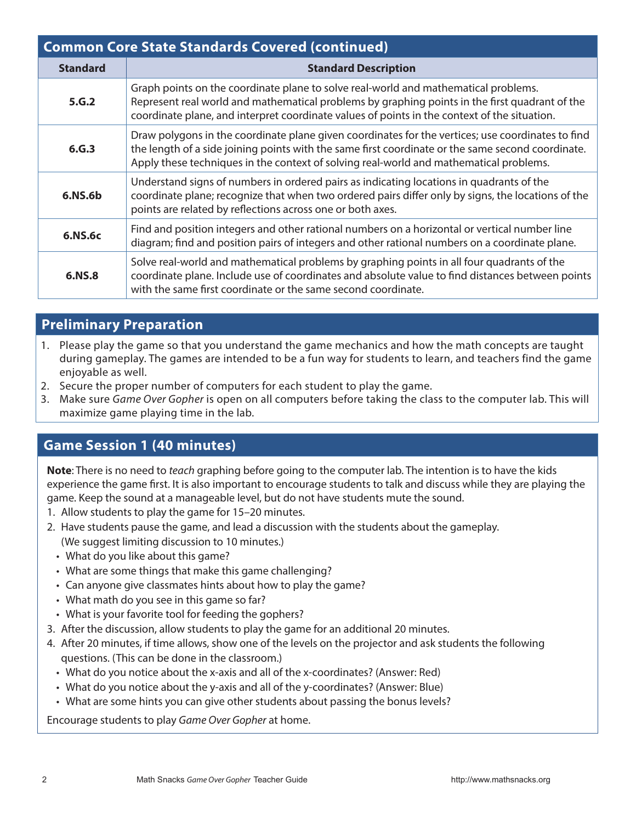| <b>Common Core State Standards Covered (continued)</b> |                                                                                                                                                                                                                                                                                                  |
|--------------------------------------------------------|--------------------------------------------------------------------------------------------------------------------------------------------------------------------------------------------------------------------------------------------------------------------------------------------------|
| <b>Standard</b>                                        | <b>Standard Description</b>                                                                                                                                                                                                                                                                      |
| 5.G.2                                                  | Graph points on the coordinate plane to solve real-world and mathematical problems.<br>Represent real world and mathematical problems by graphing points in the first quadrant of the<br>coordinate plane, and interpret coordinate values of points in the context of the situation.            |
| 6.G.3                                                  | Draw polygons in the coordinate plane given coordinates for the vertices; use coordinates to find<br>the length of a side joining points with the same first coordinate or the same second coordinate.<br>Apply these techniques in the context of solving real-world and mathematical problems. |
| 6.NS.6b                                                | Understand signs of numbers in ordered pairs as indicating locations in quadrants of the<br>coordinate plane; recognize that when two ordered pairs differ only by signs, the locations of the<br>points are related by reflections across one or both axes.                                     |
| 6.NS.6c                                                | Find and position integers and other rational numbers on a horizontal or vertical number line<br>diagram; find and position pairs of integers and other rational numbers on a coordinate plane.                                                                                                  |
| 6.NS.8                                                 | Solve real-world and mathematical problems by graphing points in all four quadrants of the<br>coordinate plane. Include use of coordinates and absolute value to find distances between points<br>with the same first coordinate or the same second coordinate.                                  |

## **Preliminary Preparation**

- 1. Please play the game so that you understand the game mechanics and how the math concepts are taught during gameplay. The games are intended to be a fun way for students to learn, and teachers find the game enjoyable as well.
- 2. Secure the proper number of computers for each student to play the game.
- 3. Make sure *Game Over Gopher* is open on all computers before taking the class to the computer lab. This will maximize game playing time in the lab.

## **Game Session 1 (40 minutes)**

**Note**: There is no need to *teach* graphing before going to the computer lab. The intention is to have the kids experience the game first. It is also important to encourage students to talk and discuss while they are playing the game. Keep the sound at a manageable level, but do not have students mute the sound.

- 1. Allow students to play the game for 15–20 minutes.
- 2. Have students pause the game, and lead a discussion with the students about the gameplay. (We suggest limiting discussion to 10 minutes.)
	- What do you like about this game?
	- What are some things that make this game challenging?
	- Can anyone give classmates hints about how to play the game?
	- What math do you see in this game so far?
- What is your favorite tool for feeding the gophers?
- 3. After the discussion, allow students to play the game for an additional 20 minutes.
- 4. After 20 minutes, if time allows, show one of the levels on the projector and ask students the following questions. (This can be done in the classroom.)
	- What do you notice about the x-axis and all of the x-coordinates? (Answer: Red)
	- What do you notice about the y-axis and all of the y-coordinates? (Answer: Blue)
	- What are some hints you can give other students about passing the bonus levels?

Encourage students to play *Game Over Gopher* at home.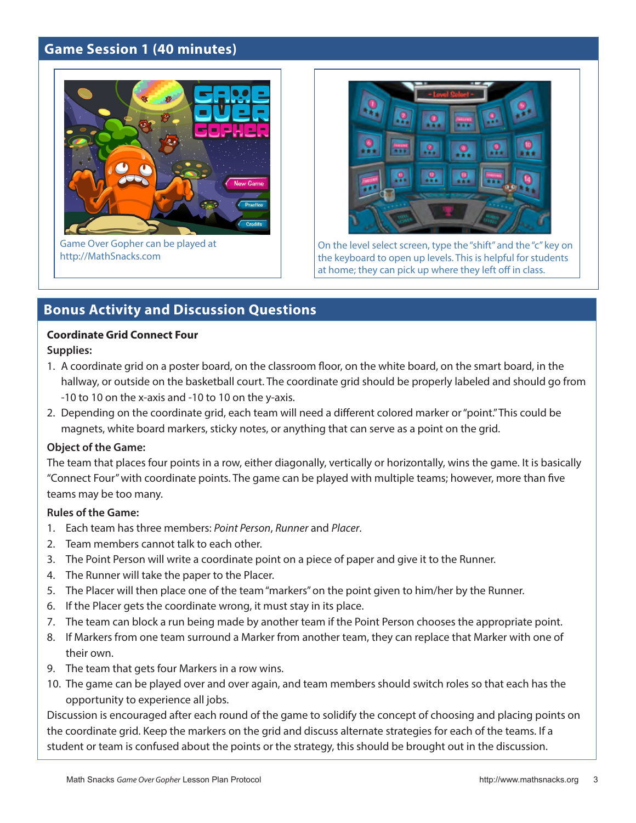## **Game Session 1 (40 minutes)**



Game Over Gopher can be played at http://MathSnacks.com



On the level select screen, type the "shift" and the "c" key on the keyboard to open up levels. This is helpful for students at home; they can pick up where they left off in class.

## **Bonus Activity and Discussion Questions**

## **Coordinate Grid Connect Four**

**Supplies:**

- 1. A coordinate grid on a poster board, on the classroom floor, on the white board, on the smart board, in the hallway, or outside on the basketball court. The coordinate grid should be properly labeled and should go from -10 to 10 on the x-axis and -10 to 10 on the y-axis.
- 2. Depending on the coordinate grid, each team will need a different colored marker or "point." This could be magnets, white board markers, sticky notes, or anything that can serve as a point on the grid.

#### **Object of the Game:**

The team that places four points in a row, either diagonally, vertically or horizontally, wins the game. It is basically "Connect Four" with coordinate points. The game can be played with multiple teams; however, more than five teams may be too many.

## **Rules of the Game:**

- 1. Each team has three members: *Point Person*, *Runner* and *Placer*.
- 2. Team members cannot talk to each other.
- 3. The Point Person will write a coordinate point on a piece of paper and give it to the Runner.
- 4. The Runner will take the paper to the Placer.
- 5. The Placer will then place one of the team "markers" on the point given to him/her by the Runner.
- 6. If the Placer gets the coordinate wrong, it must stay in its place.
- 7. The team can block a run being made by another team if the Point Person chooses the appropriate point.
- 8. If Markers from one team surround a Marker from another team, they can replace that Marker with one of their own.
- 9. The team that gets four Markers in a row wins.
- 10. The game can be played over and over again, and team members should switch roles so that each has the opportunity to experience all jobs.

Discussion is encouraged after each round of the game to solidify the concept of choosing and placing points on the coordinate grid. Keep the markers on the grid and discuss alternate strategies for each of the teams. If a student or team is confused about the points or the strategy, this should be brought out in the discussion.